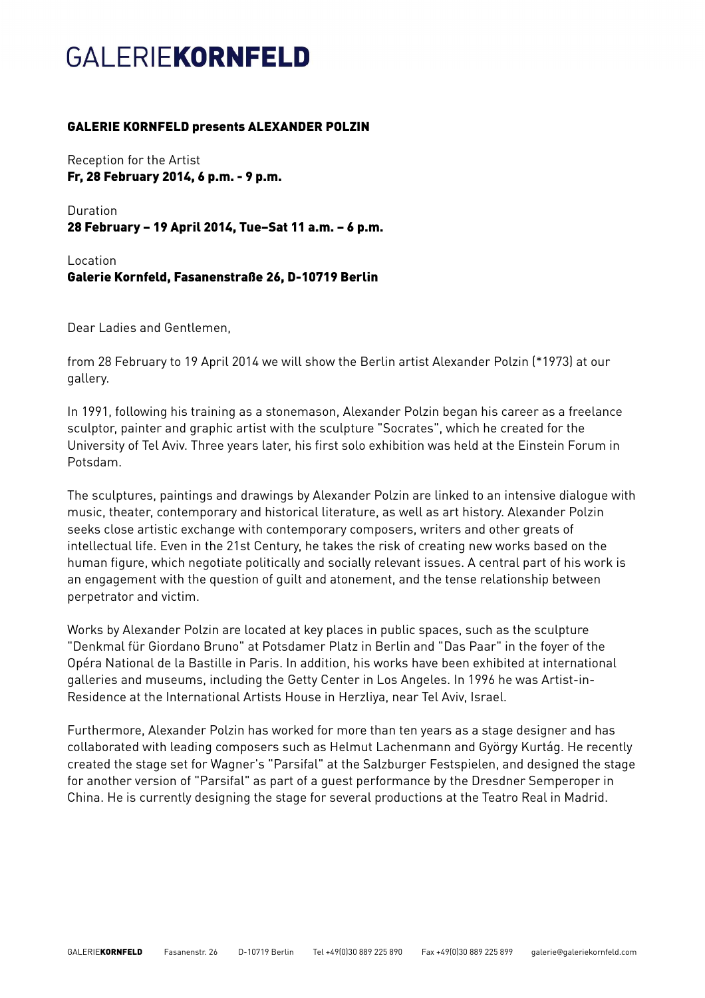## **GALERIEKORNFELD**

## GALERIE KORNFELD presents ALEXANDER POLZIN

Reception for the Artist Fr, 28 February 2014, 6 p.m. - 9 p.m.

Duration 28 February – 19 April 2014, Tue–Sat 11 a.m. – 6 p.m.

Location Galerie Kornfeld, Fasanenstraße 26, D-10719 Berlin

Dear Ladies and Gentlemen,

from 28 February to 19 April 2014 we will show the Berlin artist Alexander Polzin (\*1973) at our gallery.

In 1991, following his training as a stonemason, Alexander Polzin began his career as a freelance sculptor, painter and graphic artist with the sculpture "Socrates", which he created for the University of Tel Aviv. Three years later, his first solo exhibition was held at the Einstein Forum in Potsdam.

The sculptures, paintings and drawings by Alexander Polzin are linked to an intensive dialogue with music, theater, contemporary and historical literature, as well as art history. Alexander Polzin seeks close artistic exchange with contemporary composers, writers and other greats of intellectual life. Even in the 21st Century, he takes the risk of creating new works based on the human figure, which negotiate politically and socially relevant issues. A central part of his work is an engagement with the question of guilt and atonement, and the tense relationship between perpetrator and victim.

Works by Alexander Polzin are located at key places in public spaces, such as the sculpture "Denkmal für Giordano Bruno" at Potsdamer Platz in Berlin and "Das Paar" in the foyer of the Opéra National de la Bastille in Paris. In addition, his works have been exhibited at international galleries and museums, including the Getty Center in Los Angeles. In 1996 he was Artist-in-Residence at the International Artists House in Herzliya, near Tel Aviv, Israel.

Furthermore, Alexander Polzin has worked for more than ten years as a stage designer and has collaborated with leading composers such as Helmut Lachenmann and György Kurtág. He recently created the stage set for Wagner's "Parsifal" at the Salzburger Festspielen, and designed the stage for another version of "Parsifal" as part of a guest performance by the Dresdner Semperoper in China. He is currently designing the stage for several productions at the Teatro Real in Madrid.